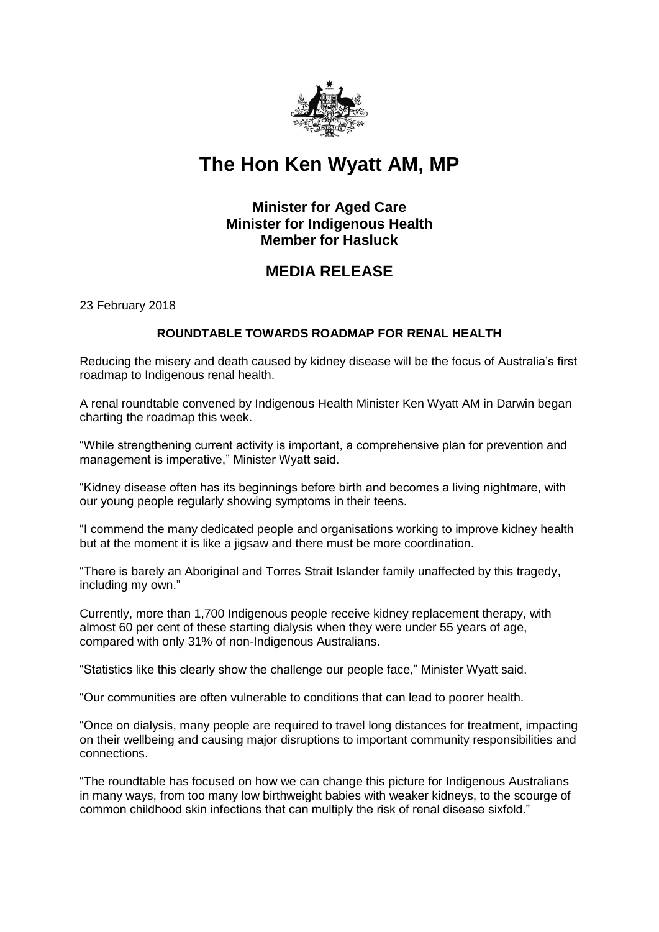

# **The Hon Ken Wyatt AM, MP**

## **Minister for Aged Care Minister for Indigenous Health Member for Hasluck**

# **MEDIA RELEASE**

23 February 2018

### **ROUNDTABLE TOWARDS ROADMAP FOR RENAL HEALTH**

Reducing the misery and death caused by kidney disease will be the focus of Australia's first roadmap to Indigenous renal health.

A renal roundtable convened by Indigenous Health Minister Ken Wyatt AM in Darwin began charting the roadmap this week.

"While strengthening current activity is important, a comprehensive plan for prevention and management is imperative," Minister Wyatt said.

"Kidney disease often has its beginnings before birth and becomes a living nightmare, with our young people regularly showing symptoms in their teens.

"I commend the many dedicated people and organisations working to improve kidney health but at the moment it is like a jigsaw and there must be more coordination.

"There is barely an Aboriginal and Torres Strait Islander family unaffected by this tragedy, including my own."

Currently, more than 1,700 Indigenous people receive kidney replacement therapy, with almost 60 per cent of these starting dialysis when they were under 55 years of age, compared with only 31% of non-Indigenous Australians.

"Statistics like this clearly show the challenge our people face," Minister Wyatt said.

"Our communities are often vulnerable to conditions that can lead to poorer health.

"Once on dialysis, many people are required to travel long distances for treatment, impacting on their wellbeing and causing major disruptions to important community responsibilities and connections.

"The roundtable has focused on how we can change this picture for Indigenous Australians in many ways, from too many low birthweight babies with weaker kidneys, to the scourge of common childhood skin infections that can multiply the risk of renal disease sixfold."